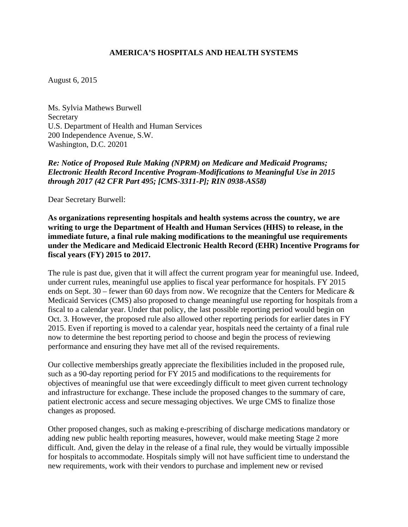## **AMERICA'S HOSPITALS AND HEALTH SYSTEMS**

August 6, 2015

Ms. Sylvia Mathews Burwell Secretary U.S. Department of Health and Human Services 200 Independence Avenue, S.W. Washington, D.C. 20201

*Re: Notice of Proposed Rule Making (NPRM) on Medicare and Medicaid Programs; Electronic Health Record Incentive Program-Modifications to Meaningful Use in 2015 through 2017 (42 CFR Part 495; [CMS-3311-P]; RIN 0938-AS58)* 

Dear Secretary Burwell:

**As organizations representing hospitals and health systems across the country, we are writing to urge the Department of Health and Human Services (HHS) to release, in the immediate future, a final rule making modifications to the meaningful use requirements under the Medicare and Medicaid Electronic Health Record (EHR) Incentive Programs for fiscal years (FY) 2015 to 2017.** 

The rule is past due, given that it will affect the current program year for meaningful use. Indeed, under current rules, meaningful use applies to fiscal year performance for hospitals. FY 2015 ends on Sept. 30 – fewer than 60 days from now. We recognize that the Centers for Medicare  $\&$ Medicaid Services (CMS) also proposed to change meaningful use reporting for hospitals from a fiscal to a calendar year. Under that policy, the last possible reporting period would begin on Oct. 3. However, the proposed rule also allowed other reporting periods for earlier dates in FY 2015. Even if reporting is moved to a calendar year, hospitals need the certainty of a final rule now to determine the best reporting period to choose and begin the process of reviewing performance and ensuring they have met all of the revised requirements.

Our collective memberships greatly appreciate the flexibilities included in the proposed rule, such as a 90-day reporting period for FY 2015 and modifications to the requirements for objectives of meaningful use that were exceedingly difficult to meet given current technology and infrastructure for exchange. These include the proposed changes to the summary of care, patient electronic access and secure messaging objectives. We urge CMS to finalize those changes as proposed.

Other proposed changes, such as making e-prescribing of discharge medications mandatory or adding new public health reporting measures, however, would make meeting Stage 2 more difficult. And, given the delay in the release of a final rule, they would be virtually impossible for hospitals to accommodate. Hospitals simply will not have sufficient time to understand the new requirements, work with their vendors to purchase and implement new or revised